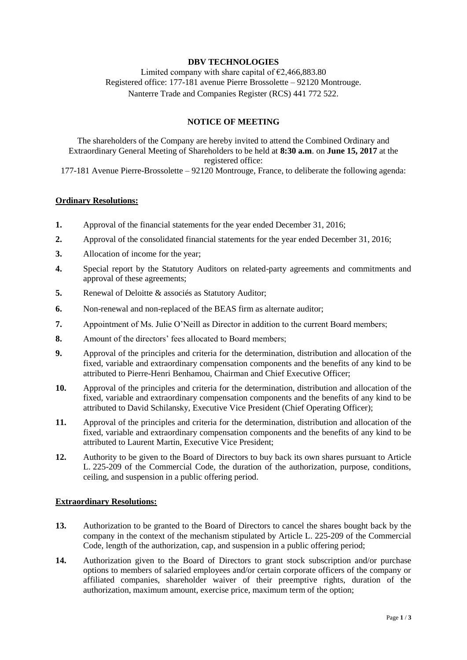## **DBV TECHNOLOGIES**

Limited company with share capital of  $\epsilon$ 2,466,883.80 Registered office: 177-181 avenue Pierre Brossolette – 92120 Montrouge. Nanterre Trade and Companies Register (RCS) 441 772 522.

## **NOTICE OF MEETING**

The shareholders of the Company are hereby invited to attend the Combined Ordinary and Extraordinary General Meeting of Shareholders to be held at **8:30 a.m**. on **June 15, 2017** at the registered office:

177-181 Avenue Pierre-Brossolette – 92120 Montrouge, France, to deliberate the following agenda:

## **Ordinary Resolutions:**

- **1.** Approval of the financial statements for the year ended December 31, 2016;
- **2.** Approval of the consolidated financial statements for the year ended December 31, 2016;
- **3.** Allocation of income for the year;
- **4.** Special report by the Statutory Auditors on related-party agreements and commitments and approval of these agreements;
- **5.** Renewal of Deloitte & associés as Statutory Auditor;
- **6.** Non-renewal and non-replaced of the BEAS firm as alternate auditor;
- **7.** Appointment of Ms. Julie O'Neill as Director in addition to the current Board members;
- **8.** Amount of the directors' fees allocated to Board members;
- **9.** Approval of the principles and criteria for the determination, distribution and allocation of the fixed, variable and extraordinary compensation components and the benefits of any kind to be attributed to Pierre-Henri Benhamou, Chairman and Chief Executive Officer;
- **10.** Approval of the principles and criteria for the determination, distribution and allocation of the fixed, variable and extraordinary compensation components and the benefits of any kind to be attributed to David Schilansky, Executive Vice President (Chief Operating Officer);
- **11.** Approval of the principles and criteria for the determination, distribution and allocation of the fixed, variable and extraordinary compensation components and the benefits of any kind to be attributed to Laurent Martin, Executive Vice President;
- **12.** Authority to be given to the Board of Directors to buy back its own shares pursuant to Article L. 225-209 of the Commercial Code, the duration of the authorization, purpose, conditions, ceiling, and suspension in a public offering period.

### **Extraordinary Resolutions:**

- **13.** Authorization to be granted to the Board of Directors to cancel the shares bought back by the company in the context of the mechanism stipulated by Article L. 225-209 of the Commercial Code, length of the authorization, cap, and suspension in a public offering period;
- **14.** Authorization given to the Board of Directors to grant stock subscription and/or purchase options to members of salaried employees and/or certain corporate officers of the company or affiliated companies, shareholder waiver of their preemptive rights, duration of the authorization, maximum amount, exercise price, maximum term of the option;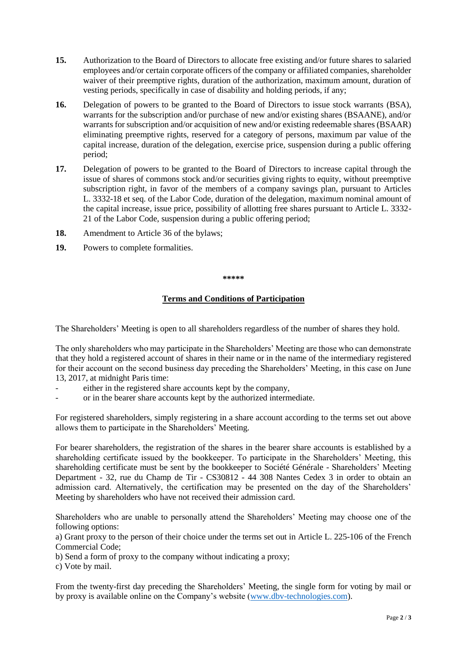- **15.** Authorization to the Board of Directors to allocate free existing and/or future shares to salaried employees and/or certain corporate officers of the company or affiliated companies, shareholder waiver of their preemptive rights, duration of the authorization, maximum amount, duration of vesting periods, specifically in case of disability and holding periods, if any;
- **16.** Delegation of powers to be granted to the Board of Directors to issue stock warrants (BSA), warrants for the subscription and/or purchase of new and/or existing shares (BSAANE), and/or warrants for subscription and/or acquisition of new and/or existing redeemable shares (BSAAR) eliminating preemptive rights, reserved for a category of persons, maximum par value of the capital increase, duration of the delegation, exercise price, suspension during a public offering period;
- **17.** Delegation of powers to be granted to the Board of Directors to increase capital through the issue of shares of commons stock and/or securities giving rights to equity, without preemptive subscription right, in favor of the members of a company savings plan, pursuant to Articles L. 3332-18 et seq. of the Labor Code, duration of the delegation, maximum nominal amount of the capital increase, issue price, possibility of allotting free shares pursuant to Article L. 3332- 21 of the Labor Code, suspension during a public offering period;
- **18.** Amendment to Article 36 of the bylaws;
- **19.** Powers to complete formalities.

#### **\*\*\*\*\***

# **Terms and Conditions of Participation**

The Shareholders' Meeting is open to all shareholders regardless of the number of shares they hold.

The only shareholders who may participate in the Shareholders' Meeting are those who can demonstrate that they hold a registered account of shares in their name or in the name of the intermediary registered for their account on the second business day preceding the Shareholders' Meeting, in this case on June 13, 2017, at midnight Paris time:

- either in the registered share accounts kept by the company,
- or in the bearer share accounts kept by the authorized intermediate.

For registered shareholders, simply registering in a share account according to the terms set out above allows them to participate in the Shareholders' Meeting.

For bearer shareholders, the registration of the shares in the bearer share accounts is established by a shareholding certificate issued by the bookkeeper. To participate in the Shareholders' Meeting, this shareholding certificate must be sent by the bookkeeper to Société Générale - Shareholders' Meeting Department - 32, rue du Champ de Tir - CS30812 - 44 308 Nantes Cedex 3 in order to obtain an admission card. Alternatively, the certification may be presented on the day of the Shareholders' Meeting by shareholders who have not received their admission card.

Shareholders who are unable to personally attend the Shareholders' Meeting may choose one of the following options:

a) Grant proxy to the person of their choice under the terms set out in Article L. 225-106 of the French Commercial Code;

b) Send a form of proxy to the company without indicating a proxy;

c) Vote by mail.

From the twenty-first day preceding the Shareholders' Meeting, the single form for voting by mail or by proxy is available online on the Company's website [\(www.dbv-technologies.com\)](http://www.dbv-technologies.com/).